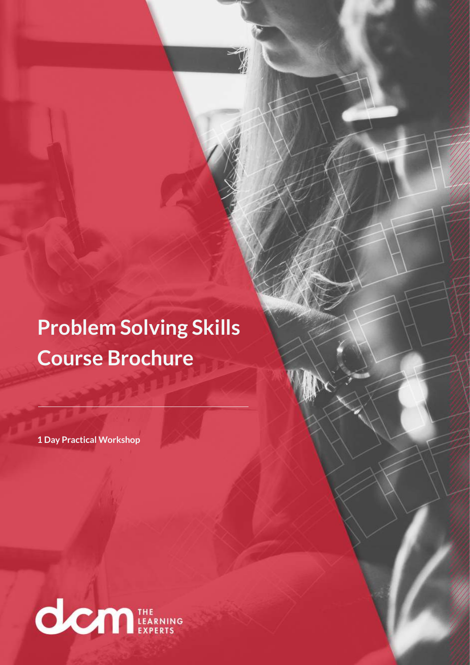**Problem Solving Skills Course Brochure**

**1 Day Practical Workshop**

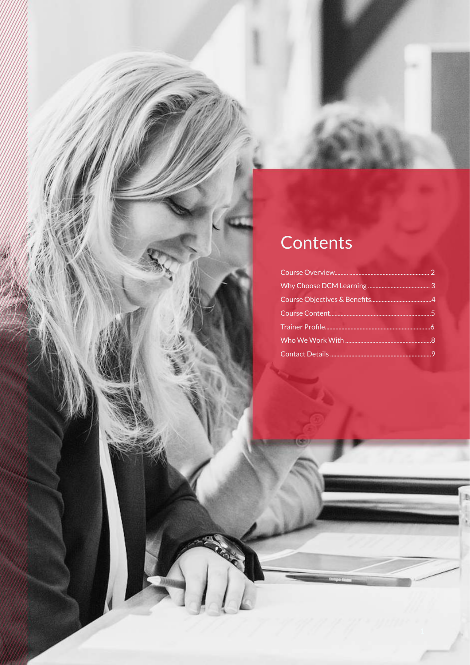# Contents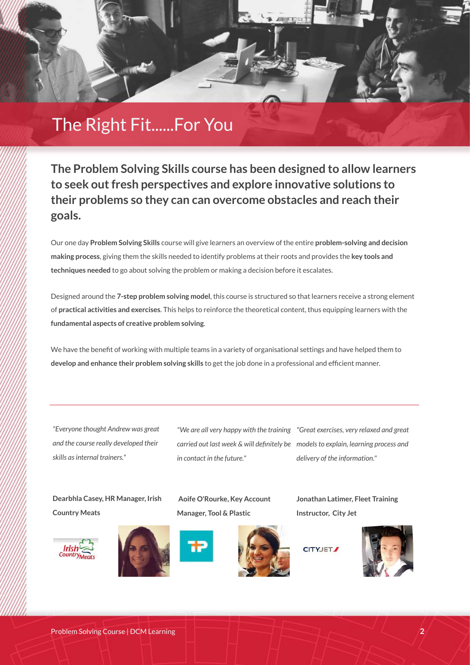## The Right Fit......For You

**The Problem Solving Skills course has been designed to allow learners to seek out fresh perspectives and explore innovative solutions to their problems so they can can overcome obstacles and reach their goals.**

Our one day **Problem Solving Skills** course will give learners an overview of the entire **problem-solving and decision making process**, giving them the skills needed to identify problems at their roots and provides the **key tools and techniques needed** to go about solving the problem or making a decision before it escalates.

Designed around the **7-step problem solving model**, this course is structured so that learners receive a strong element of **practical activities and exercises**. This helps to reinforce the theoretical content, thus equipping learners with the **fundamental aspects of creative problem solving**.

We have the benefit of working with multiple teams in a variety of organisational settings and have helped them to **develop and enhance their problem solving skills** to get the job done in a professional and efficient manner.

*"Everyone thought Andrew was great and the course really developed their skills as internal trainers."*

*"We are all very happy with the training "Great exercises, very relaxed and great carried out last week & will definitely be models to explain, learning process and in contact in the future."*

**Aoife O'Rourke, Key Account**

*delivery of the information."*

**Jonathan Latimer, Fleet Training**

**Instructor, City Jet**

**Dearbhla Casey, HR Manager, Irish Country Meats**











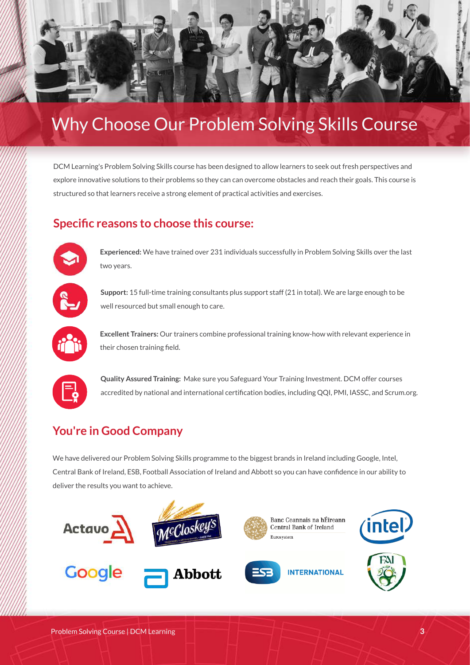

## Why Choose Our Problem Solving Skills Course

DCM Learning's Problem Solving Skills course has been designed to allow learners to seek out fresh perspectives and explore innovative solutions to their problems so they can can overcome obstacles and reach their goals. This course is structured so that learners receive a strong element of practical activities and exercises.

#### **Specific reasons to choose this course:**



**Experienced:** We have trained over 231 individuals successfully in Problem Solving Skills over the last two years.



**Support:** 15 full-time training consultants plus support staff (21 in total). We are large enough to be well resourced but small enough to care.



**Excellent Trainers:** Our trainers combine professional training know-how with relevant experience in their chosen training field.



**Quality Assured Training:** Make sure you Safeguard Your Training Investment. DCM offer courses accredited by national and international certification bodies, including QQI, PMI, IASSC, and Scrum.org.

#### **You're in Good Company**

We have delivered our Problem Solving Skills programme to the biggest brands in Ireland including Google, Intel, Central Bank of Ireland, ESB, Football Association of Ireland and Abbott so you can have confidence in our ability to deliver the results you want to achieve.

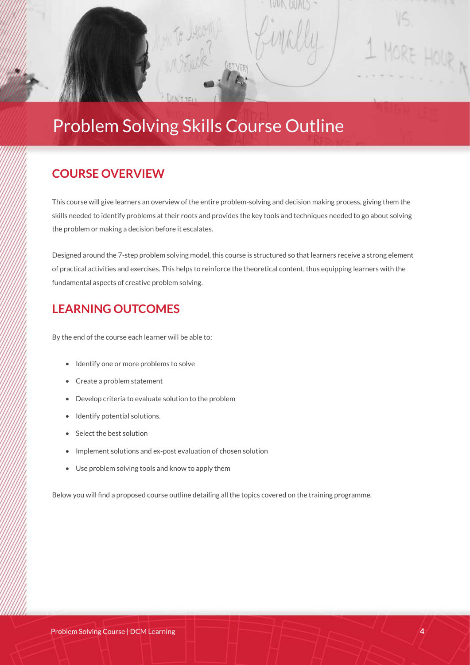## Problem Solving Skills Course Outline

#### **COURSE OVERVIEW**

**Click to add content...** 

This course will give learners an overview of the entire problem-solving and decision making process, giving them the skills needed to identify problems at their roots and provides the key tools and techniques needed to go about solving the problem or making a decision before it escalates.

Designed around the 7-step problem solving model, this course is structured so that learners receive a strong element of practical activities and exercises. This helps to reinforce the theoretical content, thus equipping learners with the fundamental aspects of creative problem solving.

#### **LEARNING OUTCOMES**

By the end of the course each learner will be able to:

- Identify one or more problems to solve
- Create a problem statement
- Develop criteria to evaluate solution to the problem
- Identify potential solutions.
- Select the best solution
- Implement solutions and ex-post evaluation of chosen solution
- Use problem solving tools and know to apply them

Below you will find a proposed course outline detailing all the topics covered on the training programme.

RE HOUR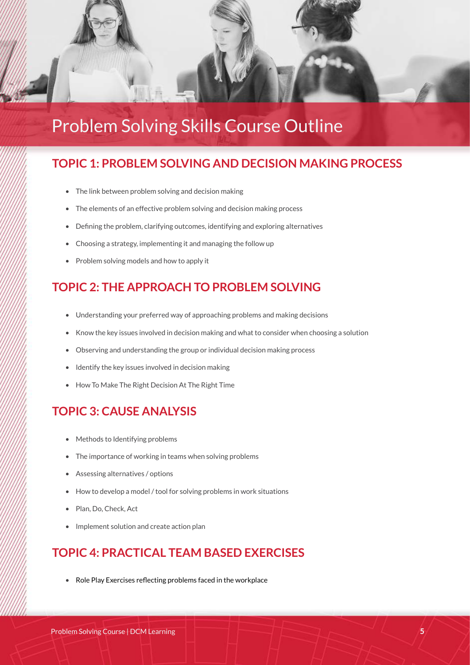

# Problem Solving Skills Course Outline

#### **TOPIC 1: PROBLEM SOLVING AND DECISION MAKING PROCESS**

- The link between problem solving and decision making
- The elements of an effective problem solving and decision making process
- Defining the problem, clarifying outcomes, identifying and exploring alternatives
- Choosing a strategy, implementing it and managing the follow up
- Problem solving models and how to apply it

#### **TOPIC 2: THE APPROACH TO PROBLEM SOLVING**

- Understanding your preferred way of approaching problems and making decisions
- Know the key issues involved in decision making and what to consider when choosing a solution
- Observing and understanding the group or individual decision making process
- Identify the key issues involved in decision making
- How To Make The Right Decision At The Right Time

#### **TOPIC 3: CAUSE ANALYSIS**

- Methods to Identifying problems
- The importance of working in teams when solving problems
- Assessing alternatives / options
- How to develop a model / tool for solving problems in work situations
- Plan, Do, Check, Act
- Implement solution and create action plan

#### **TOPIC 4: PRACTICAL TEAM BASED EXERCISES**

• Role Play Exercises reflecting problems faced in the workplace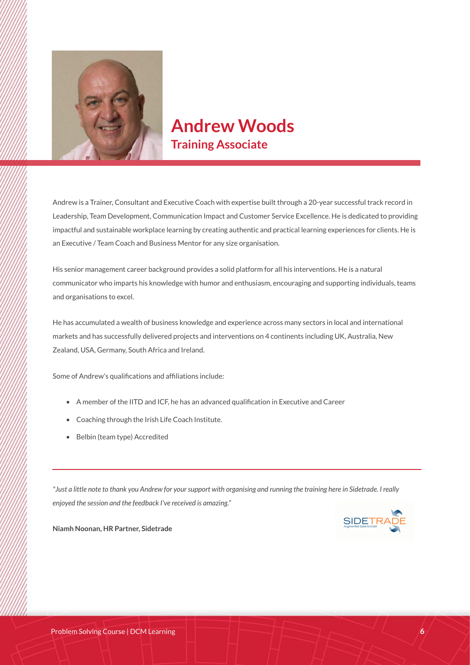

### **Andrew Woods Training Associate**

Andrew is a Trainer, Consultant and Executive Coach with expertise built through a 20-year successful track record in Leadership, Team Development, Communication Impact and Customer Service Excellence. He is dedicated to providing impactful and sustainable workplace learning by creating authentic and practical learning experiences for clients. He is an Executive / Team Coach and Business Mentor for any size organisation.

His senior management career background provides a solid platform for all his interventions. He is a natural communicator who imparts his knowledge with humor and enthusiasm, encouraging and supporting individuals, teams and organisations to excel.

He has accumulated a wealth of business knowledge and experience across many sectors in local and international markets and has successfully delivered projects and interventions on 4 continents including UK, Australia, New Zealand, USA, Germany, South Africa and Ireland.

Some of Andrew's qualifications and affiliations include:

- A member of the IITD and ICF, he has an advanced qualification in Executive and Career
- Coaching through the Irish Life Coach Institute.
- Belbin (team type) Accredited

*"Just a little note to thank you Andrew for your support with organising and running the training here in Sidetrade. I really enjoyed the session and the feedback I've received is amazing."*



**Niamh Noonan, HR Partner, Sidetrade**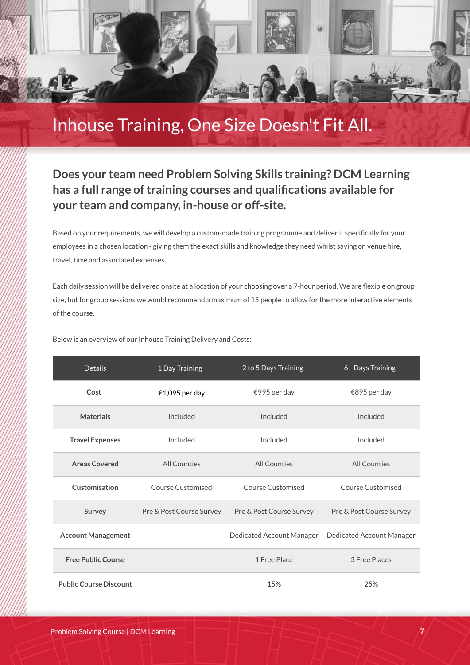

## Inhouse Training, One Size Doesn't Fit All.

#### **Does your team need Problem Solving Skills training? DCM Learning has a full range of training courses and qualifications available for your team and company, in-house or off-site.**

Based on your requirements, we will develop a custom-made training programme and deliver it specifically for your employees in a chosen location - giving them the exact skills and knowledge they need whilst saving on venue hire, travel, time and associated expenses.

Each daily session will be delivered onsite at a location of your choosing over a 7-hour period. We are flexible on group size, but for group sessions we would recommend a maximum of 15 people to allow for the more interactive elements of the course.

Below is an overview of our Inhouse Training Delivery and Costs:

| <b>Details</b>                | 1 Day Training           | 2 to 5 Days Training      | 6+ Days Training          |
|-------------------------------|--------------------------|---------------------------|---------------------------|
| Cost                          | €1,095 per day           | €995 per day              | €895 per day              |
| <b>Materials</b>              | Included                 | Included                  | Included                  |
| <b>Travel Expenses</b>        | Included                 | Included                  | Included                  |
| <b>Areas Covered</b>          | All Counties             | All Counties              | <b>All Counties</b>       |
| Customisation                 | Course Customised        | Course Customised         | Course Customised         |
| Survey                        | Pre & Post Course Survey | Pre & Post Course Survey  | Pre & Post Course Survey  |
| <b>Account Management</b>     |                          | Dedicated Account Manager | Dedicated Account Manager |
| <b>Free Public Course</b>     |                          | 1 Free Place              | 3 Free Places             |
| <b>Public Course Discount</b> |                          | 15%                       | 25%                       |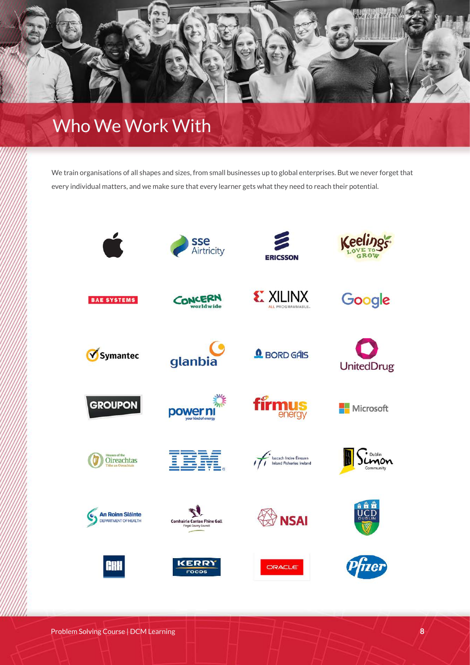

## Who We Work With

We train organisations of all shapes and sizes, from small businesses up to global enterprises. But we never forget that every individual matters, and we make sure that every learner gets what they need to reach their potential.